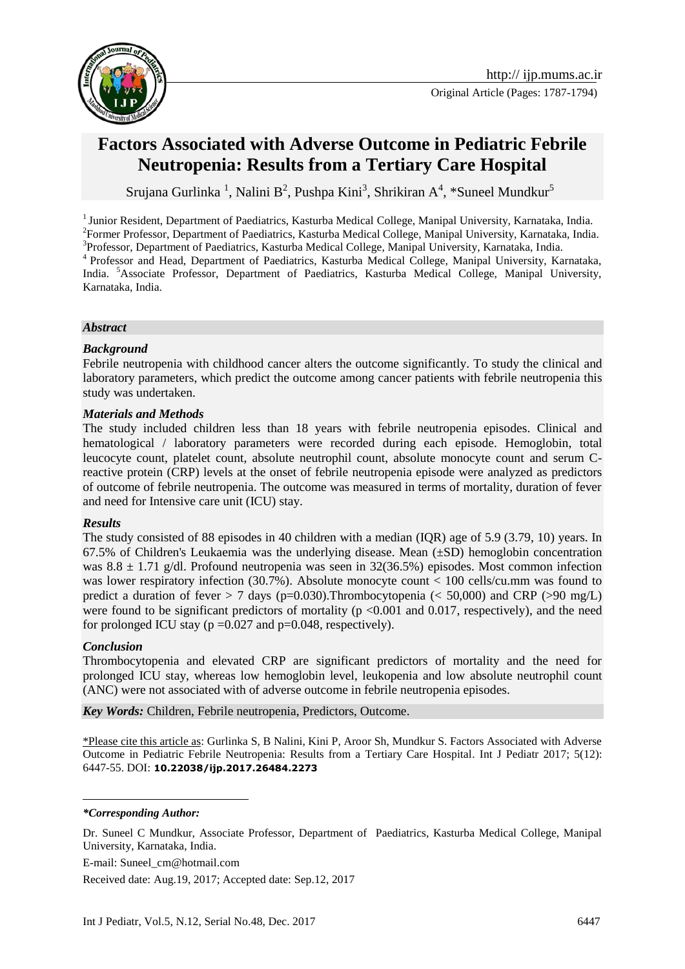



# **Factors Associated with Adverse Outcome in Pediatric Febrile Neutropenia: Results from a Tertiary Care Hospital**

Srujana Gurlinka<sup>1</sup>, Nalini B<sup>2</sup>, Pushpa Kini<sup>3</sup>, Shrikiran A<sup>4</sup>, \*Suneel Mundkur<sup>5</sup>

<sup>1</sup> Junior Resident, Department of Paediatrics, Kasturba Medical College, Manipal University, Karnataka, India. <sup>2</sup> Former Professor, Department of Paediatrics, Kasturba Medical College, Manipal University, Karnataka, India. <sup>3</sup>Professor, Department of Paediatrics, Kasturba Medical College, Manipal University, Karnataka, India. <sup>4</sup>Professor and Head, Department of Paediatrics, Kasturba Medical College, Manipal University, Karnataka, India. <sup>5</sup>Associate Professor, Department of Paediatrics, Kasturba Medical College, Manipal University, Karnataka, India.

#### *Abstract*

#### *Background*

Febrile neutropenia with childhood cancer alters the outcome significantly. To study the clinical and laboratory parameters, which predict the outcome among cancer patients with febrile neutropenia this study was undertaken.

#### *Materials and Methods*

The study included children less than 18 years with febrile neutropenia episodes. Clinical and hematological / laboratory parameters were recorded during each episode. Hemoglobin, total leucocyte count, platelet count, absolute neutrophil count, absolute monocyte count and serum Creactive protein (CRP) levels at the onset of febrile neutropenia episode were analyzed as predictors of outcome of febrile neutropenia. The outcome was measured in terms of mortality, duration of fever and need for Intensive care unit (ICU) stay.

#### *Results*

The study consisted of 88 episodes in 40 children with a median (IQR) age of 5.9 (3.79, 10) years. In 67.5% of Children's Leukaemia was the underlying disease. Mean (±SD) hemoglobin concentration was  $8.8 \pm 1.71$  g/dl. Profound neutropenia was seen in 32(36.5%) episodes. Most common infection was lower respiratory infection (30.7%). Absolute monocyte count  $\lt$  100 cells/cu.mm was found to predict a duration of fever  $> 7$  days (p=0.030). Thrombocytopenia ( $< 50,000$ ) and CRP ( $>90$  mg/L) were found to be significant predictors of mortality ( $p \le 0.001$  and 0.017, respectively), and the need for prolonged ICU stay ( $p = 0.027$  and  $p = 0.048$ , respectively).

#### *Conclusion*

<u>.</u>

Thrombocytopenia and elevated CRP are significant predictors of mortality and the need for prolonged ICU stay, whereas low hemoglobin level, leukopenia and low absolute neutrophil count (ANC) were not associated with of adverse outcome in febrile neutropenia episodes.

*Key Words:* Children, Febrile neutropenia, Predictors, Outcome.

\*Please cite this article as: Gurlinka S, B Nalini, Kini P, Aroor Sh, Mundkur S. Factors Associated with Adverse Outcome in Pediatric Febrile Neutropenia: Results from a Tertiary Care Hospital. Int J Pediatr 2017; 5(12): 6447-55. DOI: **10.22038/ijp.2017.26484.2273**

*\*Corresponding Author:*

Dr. Suneel C Mundkur, Associate Professor, Department of Paediatrics, Kasturba Medical College, Manipal University, Karnataka, India.

E-mail: [Suneel\\_cm@hotmail.com](mailto:Suneel_cm@hotmail.com)

Received date: Aug.19, 2017; Accepted date: Sep.12, 2017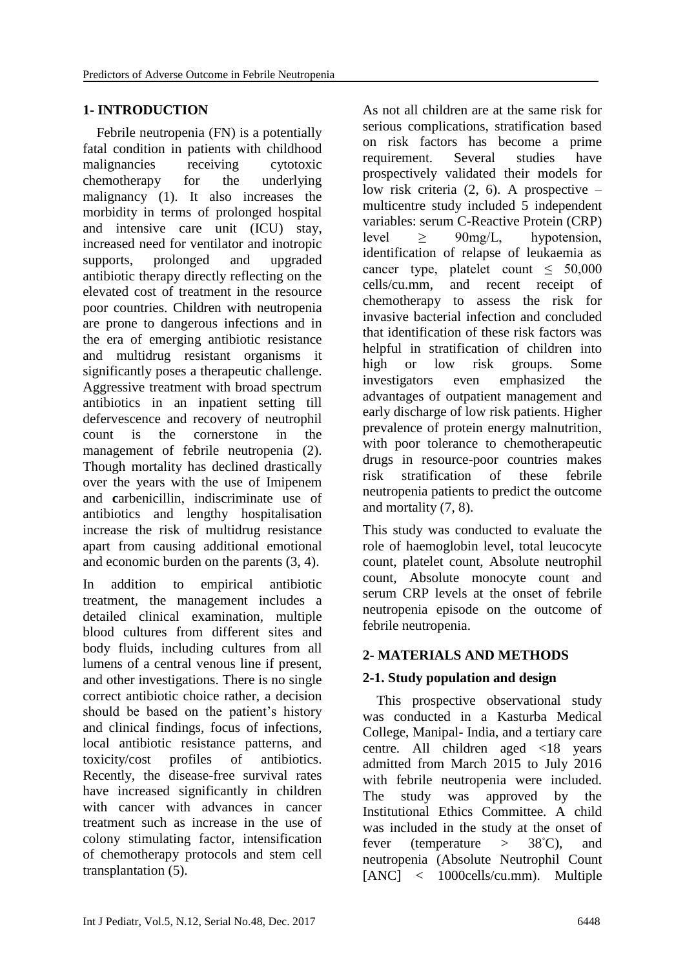# **1- INTRODUCTION**

 Febrile neutropenia (FN) is a potentially fatal condition in patients with childhood malignancies receiving cytotoxic chemotherapy for the underlying malignancy (1). It also increases the morbidity in terms of prolonged hospital and intensive care unit (ICU) stay, increased need for ventilator and inotropic supports, prolonged and upgraded antibiotic therapy directly reflecting on the elevated cost of treatment in the resource poor countries. Children with neutropenia are prone to dangerous infections and in the era of emerging antibiotic resistance and multidrug resistant organisms it significantly poses a therapeutic challenge. Aggressive treatment with broad spectrum antibiotics in an inpatient setting till defervescence and recovery of neutrophil count is the cornerstone in the management of febrile neutropenia (2). Though mortality has declined drastically over the years with the use of Imipenem and **c**arbenicillin, indiscriminate use of antibiotics and lengthy hospitalisation increase the risk of multidrug resistance apart from causing additional emotional and economic burden on the parents (3, 4).

In addition to empirical antibiotic treatment, the management includes a detailed clinical examination, multiple blood cultures from different sites and body fluids, including cultures from all lumens of a central venous line if present, and other investigations. There is no single correct antibiotic choice rather, a decision should be based on the patient's history and clinical findings, focus of infections, local antibiotic resistance patterns, and toxicity/cost profiles of antibiotics. Recently, the disease-free survival rates have increased significantly in children with cancer with advances in cancer treatment such as increase in the use of colony stimulating factor, intensification of chemotherapy protocols and stem cell transplantation (5).

As not all children are at the same risk for serious complications, stratification based on risk factors has become a prime requirement. Several studies have prospectively validated their models for low risk criteria  $(2, 6)$ . A prospective – multicentre study included 5 independent variables: serum C-Reactive Protein (CRP) level ≥ 90mg/L, hypotension, identification of relapse of leukaemia as cancer type, platelet count  $\leq 50,000$ cells/cu.mm, and recent receipt of chemotherapy to assess the risk for invasive bacterial infection and concluded that identification of these risk factors was helpful in stratification of children into high or low risk groups. Some investigators even emphasized the advantages of outpatient management and early discharge of low risk patients. Higher prevalence of protein energy malnutrition, with poor tolerance to chemotherapeutic drugs in resource-poor countries makes risk stratification of these febrile neutropenia patients to predict the outcome and mortality (7, 8).

This study was conducted to evaluate the role of haemoglobin level, total leucocyte count, platelet count, Absolute neutrophil count, Absolute monocyte count and serum CRP levels at the onset of febrile neutropenia episode on the outcome of febrile neutropenia.

# **2- MATERIALS AND METHODS**

# **2-1. Study population and design**

 This prospective observational study was conducted in a Kasturba Medical College, Manipal- India, and a tertiary care centre. All children aged <18 years admitted from March 2015 to July 2016 with febrile neutropenia were included. The study was approved by the Institutional Ethics Committee. A child was included in the study at the onset of fever (temperature  $>$  38<sup>°</sup>C), and neutropenia (Absolute Neutrophil Count [ANC] < 1000cells/cu.mm). Multiple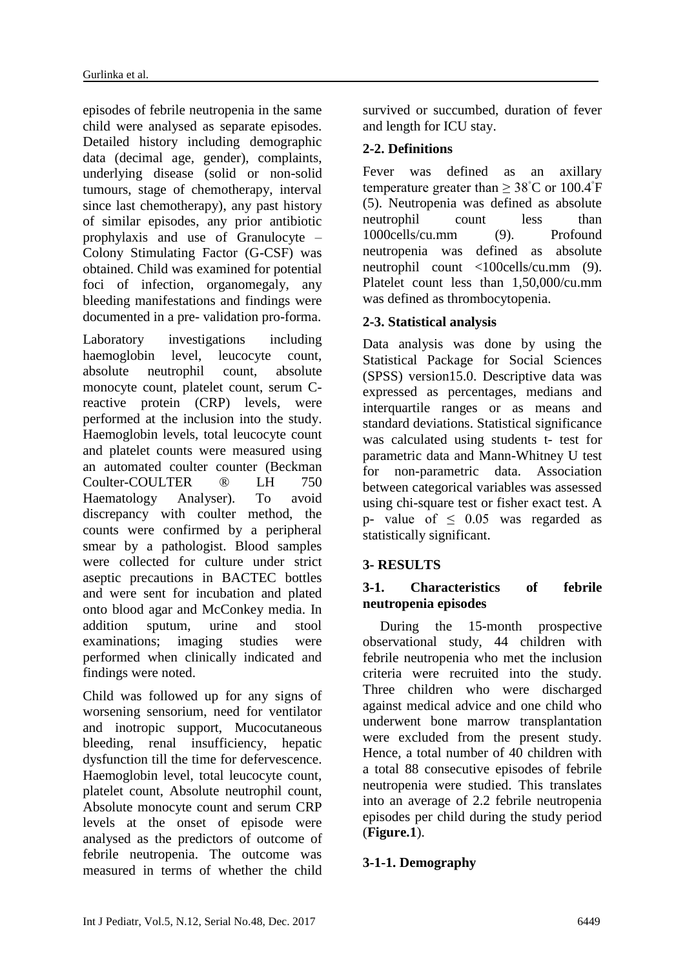episodes of febrile neutropenia in the same child were analysed as separate episodes. Detailed history including demographic data (decimal age, gender), complaints, underlying disease (solid or non-solid tumours, stage of chemotherapy, interval since last chemotherapy), any past history of similar episodes, any prior antibiotic prophylaxis and use of Granulocyte – Colony Stimulating Factor (G-CSF) was obtained. Child was examined for potential foci of infection, organomegaly, any bleeding manifestations and findings were documented in a pre- validation pro-forma.

Laboratory investigations including haemoglobin level, leucocyte count, absolute neutrophil count, absolute monocyte count, platelet count, serum Creactive protein (CRP) levels, were performed at the inclusion into the study. Haemoglobin levels, total leucocyte count and platelet counts were measured using an automated coulter counter (Beckman Coulter-COULTER ® LH 750 Haematology Analyser). To avoid discrepancy with coulter method, the counts were confirmed by a peripheral smear by a pathologist. Blood samples were collected for culture under strict aseptic precautions in BACTEC bottles and were sent for incubation and plated onto blood agar and McConkey media. In addition sputum, urine and stool examinations; imaging studies were performed when clinically indicated and findings were noted.

Child was followed up for any signs of worsening sensorium, need for ventilator and inotropic support, Mucocutaneous bleeding, renal insufficiency, hepatic dysfunction till the time for defervescence. Haemoglobin level, total leucocyte count, platelet count, Absolute neutrophil count, Absolute monocyte count and serum CRP levels at the onset of episode were analysed as the predictors of outcome of febrile neutropenia. The outcome was measured in terms of whether the child survived or succumbed, duration of fever and length for ICU stay.

# **2-2. Definitions**

Fever was defined as an axillary temperature greater than  $\geq 38^{\circ}$ C or 100.4<sup>°</sup>F (5). Neutropenia was defined as absolute neutrophil count less than 1000cells/cu.mm (9). Profound neutropenia was defined as absolute neutrophil count <100cells/cu.mm (9). Platelet count less than 1,50,000/cu.mm was defined as thrombocytopenia.

# **2-3. Statistical analysis**

Data analysis was done by using the Statistical Package for Social Sciences (SPSS) version15.0. Descriptive data was expressed as percentages, medians and interquartile ranges or as means and standard deviations. Statistical significance was calculated using students t- test for parametric data and Mann-Whitney U test for non-parametric data. Association between categorical variables was assessed using chi-square test or fisher exact test. A p- value of  $\leq$  0.05 was regarded as statistically significant.

# **3- RESULTS**

#### **3-1. Characteristics of febrile neutropenia episodes**

 During the 15-month prospective observational study, 44 children with febrile neutropenia who met the inclusion criteria were recruited into the study. Three children who were discharged against medical advice and one child who underwent bone marrow transplantation were excluded from the present study. Hence, a total number of 40 children with a total 88 consecutive episodes of febrile neutropenia were studied. This translates into an average of 2.2 febrile neutropenia episodes per child during the study period (**Figure.1**).

# **3-1-1. Demography**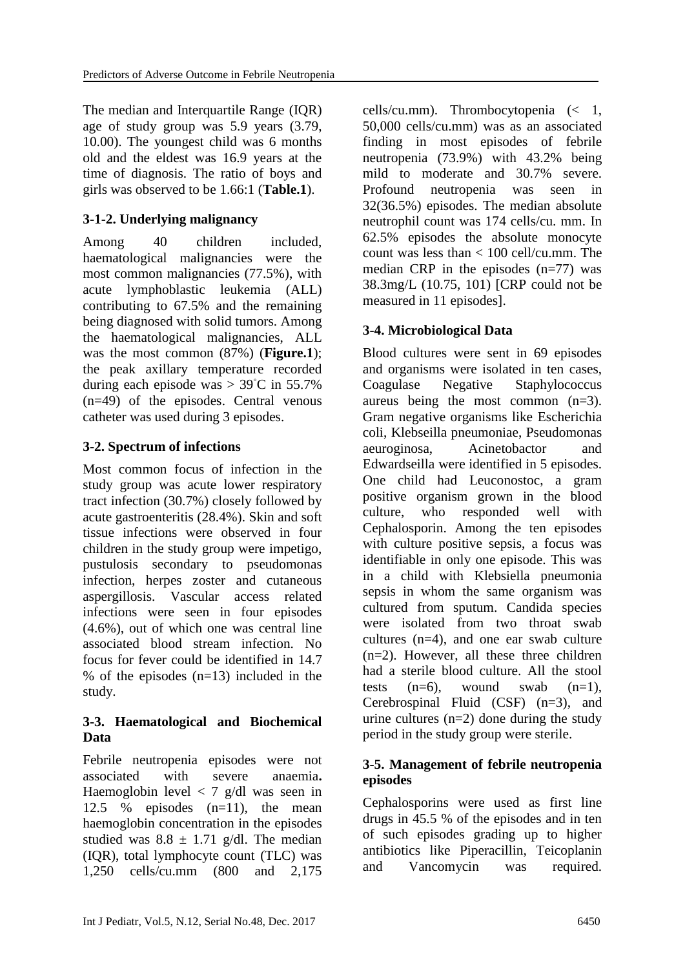The median and Interquartile Range (IQR) age of study group was 5.9 years (3.79, 10.00). The youngest child was 6 months old and the eldest was 16.9 years at the time of diagnosis. The ratio of boys and girls was observed to be 1.66:1 (**Table.1**).

# **3-1-2. Underlying malignancy**

Among 40 children included, haematological malignancies were the most common malignancies (77.5%), with acute lymphoblastic leukemia (ALL) contributing to 67.5% and the remaining being diagnosed with solid tumors. Among the haematological malignancies, ALL was the most common (87%) (**Figure.1**); the peak axillary temperature recorded during each episode was >  $39^{\circ}$ C in 55.7% (n=49) of the episodes. Central venous catheter was used during 3 episodes.

# **3-2. Spectrum of infections**

Most common focus of infection in the study group was acute lower respiratory tract infection (30.7%) closely followed by acute gastroenteritis (28.4%). Skin and soft tissue infections were observed in four children in the study group were impetigo, pustulosis secondary to pseudomonas infection, herpes zoster and cutaneous aspergillosis. Vascular access related infections were seen in four episodes (4.6%), out of which one was central line associated blood stream infection. No focus for fever could be identified in 14.7 % of the episodes  $(n=13)$  included in the study.

### **3-3. Haematological and Biochemical Data**

Febrile neutropenia episodes were not associated with severe anaemia**.** Haemoglobin level  $\langle 7 \text{ g/d} \rangle$  was seen in 12.5 % episodes (n=11), the mean haemoglobin concentration in the episodes studied was  $8.8 \pm 1.71$  g/dl. The median (IQR), total lymphocyte count (TLC) was 1,250 cells/cu.mm (800 and 2,175

cells/cu.mm). Thrombocytopenia (< 1, 50,000 cells/cu.mm) was as an associated finding in most episodes of febrile neutropenia (73.9%) with 43.2% being mild to moderate and 30.7% severe. Profound neutropenia was seen in 32(36.5%) episodes. The median absolute neutrophil count was 174 cells/cu. mm. In 62.5% episodes the absolute monocyte count was less than < 100 cell/cu.mm. The median CRP in the episodes  $(n=77)$  was 38.3mg/L (10.75, 101) [CRP could not be measured in 11 episodes].

# **3-4. Microbiological Data**

Blood cultures were sent in 69 episodes and organisms were isolated in ten cases, Coagulase Negative Staphylococcus aureus being the most common (n=3). Gram negative organisms like Escherichia coli, Klebseilla pneumoniae, Pseudomonas aeuroginosa, Acinetobactor and Edwardseilla were identified in 5 episodes. One child had Leuconostoc, a gram positive organism grown in the blood culture, who responded well with Cephalosporin. Among the ten episodes with culture positive sepsis, a focus was identifiable in only one episode. This was in a child with Klebsiella pneumonia sepsis in whom the same organism was cultured from sputum. Candida species were isolated from two throat swab cultures (n=4), and one ear swab culture (n=2). However, all these three children had a sterile blood culture. All the stool tests  $(n=6)$ , wound swab  $(n=1)$ , Cerebrospinal Fluid (CSF) (n=3), and urine cultures  $(n=2)$  done during the study period in the study group were sterile.

### **3-5. Management of febrile neutropenia episodes**

Cephalosporins were used as first line drugs in 45.5 % of the episodes and in ten of such episodes grading up to higher antibiotics like Piperacillin, Teicoplanin and Vancomycin was required.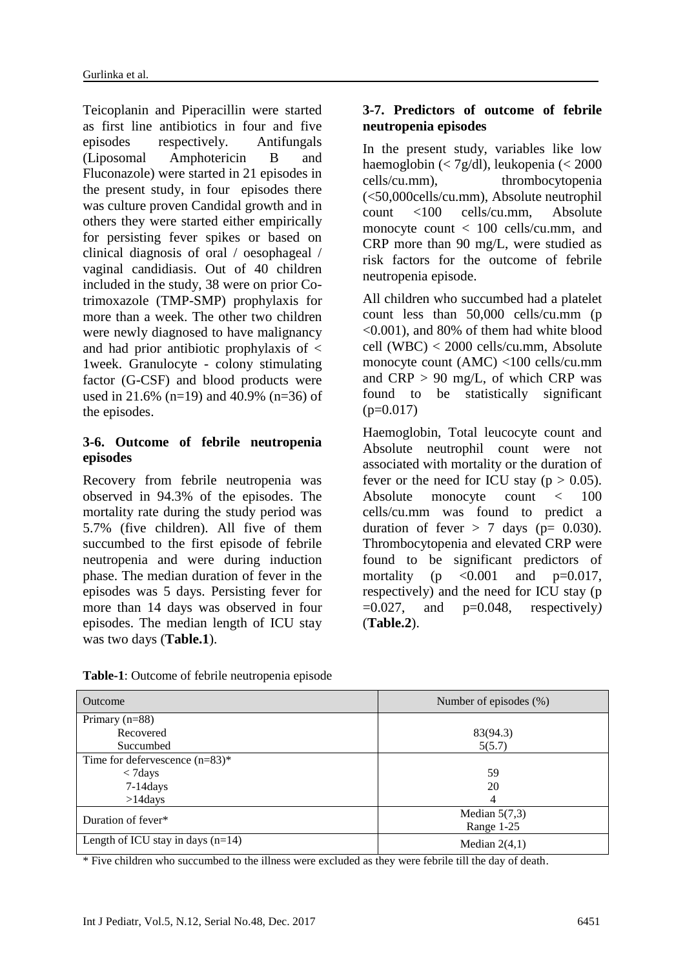Teicoplanin and Piperacillin were started as first line antibiotics in four and five episodes respectively. Antifungals (Liposomal Amphotericin B and Fluconazole) were started in 21 episodes in the present study, in four episodes there was culture proven Candidal growth and in others they were started either empirically for persisting fever spikes or based on clinical diagnosis of oral / oesophageal / vaginal candidiasis. Out of 40 children included in the study, 38 were on prior Cotrimoxazole (TMP-SMP) prophylaxis for more than a week. The other two children were newly diagnosed to have malignancy and had prior antibiotic prophylaxis of < 1week. Granulocyte - colony stimulating factor (G-CSF) and blood products were used in 21.6% (n=19) and 40.9% (n=36) of the episodes.

#### **3-6. Outcome of febrile neutropenia episodes**

Recovery from febrile neutropenia was observed in 94.3% of the episodes. The mortality rate during the study period was 5.7% (five children). All five of them succumbed to the first episode of febrile neutropenia and were during induction phase. The median duration of fever in the episodes was 5 days. Persisting fever for more than 14 days was observed in four episodes. The median length of ICU stay was two days (**Table.1**).

### **3-7. Predictors of outcome of febrile neutropenia episodes**

In the present study, variables like low haemoglobin (< 7g/dl), leukopenia (< 2000 cells/cu.mm), thrombocytopenia (<50,000cells/cu.mm), Absolute neutrophil count <100 cells/cu.mm, Absolute monocyte count < 100 cells/cu.mm, and CRP more than 90 mg/L, were studied as risk factors for the outcome of febrile neutropenia episode.

All children who succumbed had a platelet count less than 50,000 cells/cu.mm (p <0.001), and 80% of them had white blood cell (WBC) < 2000 cells/cu.mm, Absolute monocyte count (AMC) <100 cells/cu.mm and  $CRP > 90$  mg/L, of which CRP was found to be statistically significant  $(p=0.017)$ 

Haemoglobin, Total leucocyte count and Absolute neutrophil count were not associated with mortality or the duration of fever or the need for ICU stay ( $p > 0.05$ ). Absolute monocyte count < 100 cells/cu.mm was found to predict a duration of fever  $> 7$  days (p= 0.030). Thrombocytopenia and elevated CRP were found to be significant predictors of mortality ( $p \leq 0.001$  and  $p=0.017$ , respectively) and the need for ICU stay (p =0.027, and p=0.048, respectively*)*  (**Table.2**).

| Outcome                             | Number of episodes (%) |  |  |  |
|-------------------------------------|------------------------|--|--|--|
| Primary $(n=88)$                    |                        |  |  |  |
| Recovered                           | 83(94.3)               |  |  |  |
| Succumbed                           | 5(5.7)                 |  |  |  |
| Time for defervescence $(n=83)$ *   |                        |  |  |  |
| $<$ 7 days                          | 59                     |  |  |  |
| $7-14$ days                         | 20                     |  |  |  |
| $>14$ days                          | 4                      |  |  |  |
| Duration of fever*                  | Median $5(7,3)$        |  |  |  |
|                                     | Range 1-25             |  |  |  |
| Length of ICU stay in days $(n=14)$ | Median $2(4,1)$        |  |  |  |

**Table-1**: Outcome of febrile neutropenia episode

\* Five children who succumbed to the illness were excluded as they were febrile till the day of death.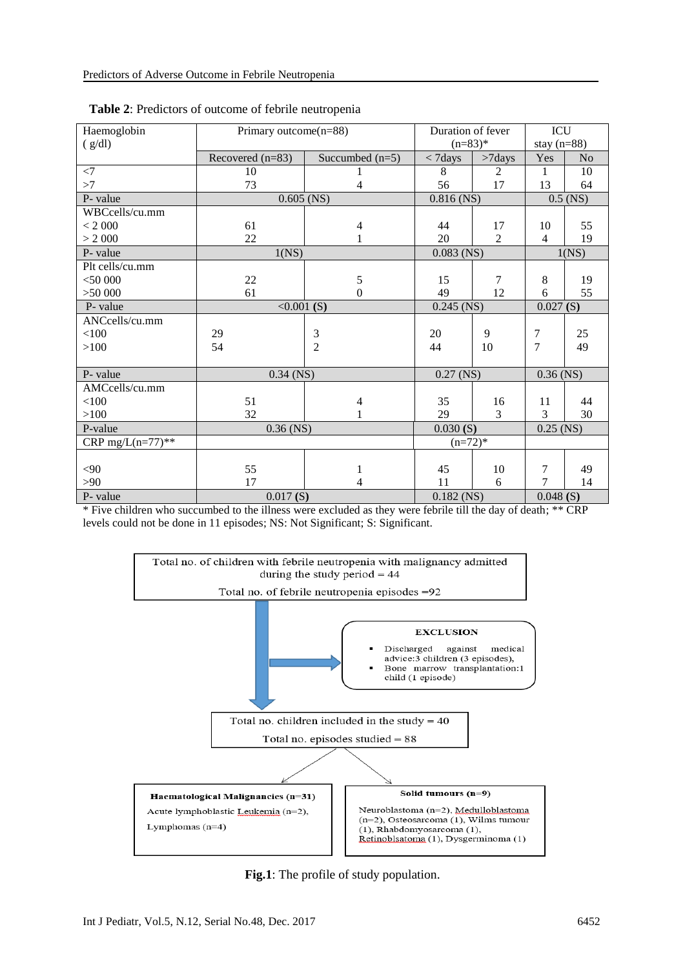| Haemoglobin          | Primary outcome(n=88) |                   | Duration of fever |                | ICU            |                |
|----------------------|-----------------------|-------------------|-------------------|----------------|----------------|----------------|
| (g/dl)               |                       |                   | $(n=83)*$         |                | stay $(n=88)$  |                |
|                      | Recovered $(n=83)$    | Succumbed $(n=5)$ | $< 7$ days        | $>7$ days      | Yes            | N <sub>o</sub> |
| $\leq$ 7             | 10                    |                   | 8                 | $\overline{2}$ | 1              | 10             |
| >7                   | 73                    | $\overline{4}$    | 56                | 17             | 13             | 64             |
| P- value             | $0.605$ (NS)          |                   | $0.816$ (NS)      |                | $0.5$ (NS)     |                |
| WBCcells/cu.mm       |                       |                   |                   |                |                |                |
| < 2000               | 61                    | 4                 | 44                | 17             | 10             | 55             |
| > 2000               | 22                    | 1                 | 20                | $\overline{2}$ | $\overline{4}$ | 19             |
| P-value              | 1(NS)                 |                   | $0.083$ (NS)      |                | 1(NS)          |                |
| Plt cells/cu.mm      |                       |                   |                   |                |                |                |
| $<$ 50 000           | 22                    | 5                 | 15                | 7              | 8              | 19             |
| >50 000              | 61                    | $\boldsymbol{0}$  | 49                | 12             | 6              | 55             |
| P- value             | <0.001(S)             |                   | $0.245$ (NS)      |                | 0.027(S)       |                |
| ANCcells/cu.mm       |                       |                   |                   |                |                |                |
| $<$ 100              | 29                    | $\mathfrak{Z}$    | 20                | 9              | 7              | 25             |
| >100                 | 54                    | $\overline{2}$    | 44                | 10             | $\overline{7}$ | 49             |
|                      |                       |                   |                   |                |                |                |
| P-value              | $0.34$ (NS)           |                   | $0.27$ (NS)       |                | $0.36$ (NS)    |                |
| AMCcells/cu.mm       |                       |                   |                   |                |                |                |
| < 100                | 51                    | 4                 | 35                | 16             | 11             | 44             |
| >100                 | 32                    |                   | 29                | 3              | 3              | 30             |
| P-value              | $0.36$ (NS)           |                   | 0.030(S)          |                | $0.25$ (NS)    |                |
| CRP mg/ $L(n=77)$ ** |                       |                   | $(n=72)*$         |                |                |                |
|                      |                       |                   |                   |                |                |                |
| $90$                 | 55                    | 1                 | 45                | 10             | 7              | 49             |
| >90                  | 17                    | 4                 | 11                | 6              | 7              | 14             |
| P- value             | 0.017(S)              |                   | $0.182$ (NS)      |                | 0.048(S)       |                |

| <b>Table 2:</b> Predictors of outcome of febrile neutropenia |  |
|--------------------------------------------------------------|--|
|--------------------------------------------------------------|--|

\* Five children who succumbed to the illness were excluded as they were febrile till the day of death; \*\* CRP levels could not be done in 11 episodes; NS: Not Significant; S: Significant.



**Fig.1**: The profile of study population.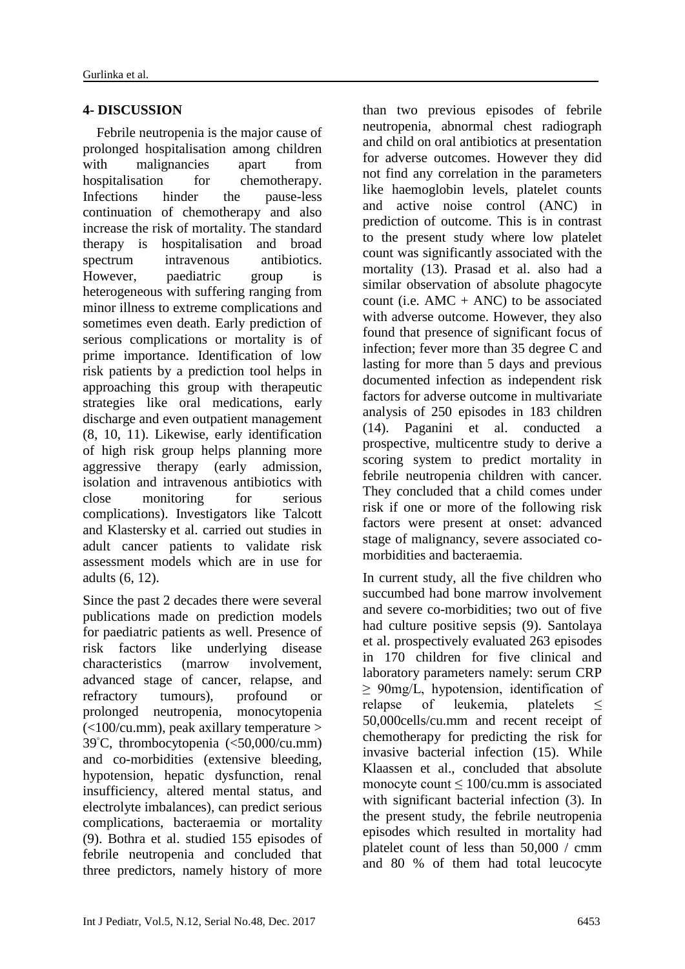#### **4- DISCUSSION**

 Febrile neutropenia is the major cause of prolonged hospitalisation among children with malignancies apart from hospitalisation for chemotherapy. Infections hinder the pause-less continuation of chemotherapy and also increase the risk of mortality. The standard therapy is hospitalisation and broad spectrum intravenous antibiotics. However, paediatric group is heterogeneous with suffering ranging from minor illness to extreme complications and sometimes even death. Early prediction of serious complications or mortality is of prime importance. Identification of low risk patients by a prediction tool helps in approaching this group with therapeutic strategies like oral medications, early discharge and even outpatient management (8, 10, 11). Likewise, early identification of high risk group helps planning more aggressive therapy (early admission, isolation and intravenous antibiotics with close monitoring for serious complications). Investigators like Talcott and Klastersky et al. carried out studies in adult cancer patients to validate risk assessment models which are in use for adults (6, 12).

Since the past 2 decades there were several publications made on prediction models for paediatric patients as well. Presence of risk factors like underlying disease characteristics (marrow involvement, advanced stage of cancer, relapse, and refractory tumours), profound or prolonged neutropenia, monocytopenia  $\epsilon$ (<100/cu.mm), peak axillary temperature > 39◦C, thrombocytopenia (<50,000/cu.mm) and co-morbidities (extensive bleeding, hypotension, hepatic dysfunction, renal insufficiency, altered mental status, and electrolyte imbalances), can predict serious complications, bacteraemia or mortality (9). Bothra et al. studied 155 episodes of febrile neutropenia and concluded that three predictors, namely history of more

than two previous episodes of febrile neutropenia, abnormal chest radiograph and child on oral antibiotics at presentation for adverse outcomes. However they did not find any correlation in the parameters like haemoglobin levels, platelet counts and active noise control (ANC) in prediction of outcome. This is in contrast to the present study where low platelet count was significantly associated with the mortality (13). Prasad et al. also had a similar observation of absolute phagocyte count (i.e.  $AMC + ANC$ ) to be associated with adverse outcome. However, they also found that presence of significant focus of infection; fever more than 35 degree C and lasting for more than 5 days and previous documented infection as independent risk factors for adverse outcome in multivariate analysis of 250 episodes in 183 children (14). Paganini et al. conducted a prospective, multicentre study to derive a scoring system to predict mortality in febrile neutropenia children with cancer. They concluded that a child comes under risk if one or more of the following risk factors were present at onset: advanced stage of malignancy, severe associated comorbidities and bacteraemia.

In current study, all the five children who succumbed had bone marrow involvement and severe co-morbidities; two out of five had culture positive sepsis (9). Santolaya et al. prospectively evaluated 263 episodes in 170 children for five clinical and laboratory parameters namely: serum CRP  $\geq 90$ mg/L, hypotension, identification of relapse of leukemia, platelets < 50,000cells/cu.mm and recent receipt of chemotherapy for predicting the risk for invasive bacterial infection (15). While Klaassen et al., concluded that absolute monocyte count ≤ 100/cu.mm is associated with significant bacterial infection (3). In the present study, the febrile neutropenia episodes which resulted in mortality had platelet count of less than 50,000 / cmm and 80 % of them had total leucocyte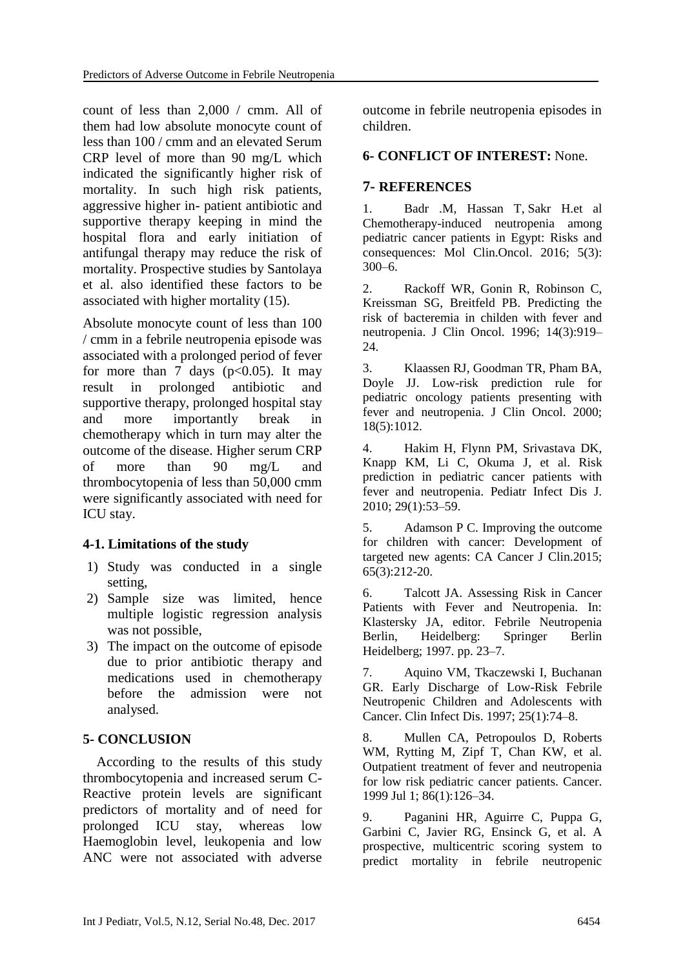count of less than 2,000 / cmm. All of them had low absolute monocyte count of less than 100 / cmm and an elevated Serum CRP level of more than 90 mg/L which indicated the significantly higher risk of mortality. In such high risk patients, aggressive higher in- patient antibiotic and supportive therapy keeping in mind the hospital flora and early initiation of antifungal therapy may reduce the risk of mortality. Prospective studies by Santolaya et al. also identified these factors to be associated with higher mortality (15).

Absolute monocyte count of less than 100 / cmm in a febrile neutropenia episode was associated with a prolonged period of fever for more than 7 days ( $p<0.05$ ). It may result in prolonged antibiotic and supportive therapy, prolonged hospital stay and more importantly break in chemotherapy which in turn may alter the outcome of the disease. Higher serum CRP of more than 90 mg/L and thrombocytopenia of less than 50,000 cmm were significantly associated with need for ICU stay.

# **4-1. Limitations of the study**

- 1) Study was conducted in a single setting,
- 2) Sample size was limited, hence multiple logistic regression analysis was not possible,
- 3) The impact on the outcome of episode due to prior antibiotic therapy and medications used in chemotherapy before the admission were not analysed.

# **5- CONCLUSION**

 According to the results of this study thrombocytopenia and increased serum C-Reactive protein levels are significant predictors of mortality and of need for prolonged ICU stay, whereas low Haemoglobin level, leukopenia and low ANC were not associated with adverse outcome in febrile neutropenia episodes in children.

#### **6- CONFLICT OF INTEREST:** None.

### **7- REFERENCES**

1. [Badr](https://www.ncbi.nlm.nih.gov/pubmed/?term=Badr%20M%5BAuthor%5D&cauthor=true&cauthor_uid=27588196) .M, [Hassan](https://www.ncbi.nlm.nih.gov/pubmed/?term=Hassan%20T%5BAuthor%5D&cauthor=true&cauthor_uid=27588196) T, [Sakr](https://www.ncbi.nlm.nih.gov/pubmed/?term=Sakr%20H%5BAuthor%5D&cauthor=true&cauthor_uid=27588196) H.et al Chemotherapy-induced neutropenia among pediatric cancer patients in Egypt: Risks and consequences: [Mol Clin.Oncol.](https://www.ncbi.nlm.nih.gov/pmc/articles/PMC4998081/) 2016; 5(3):  $300-6$ .

2. Rackoff WR, Gonin R, Robinson C, Kreissman SG, Breitfeld PB. Predicting the risk of bacteremia in childen with fever and neutropenia. J Clin Oncol. 1996; 14(3):919– 24.

3. Klaassen RJ, Goodman TR, Pham BA, Doyle JJ. Low-risk prediction rule for pediatric oncology patients presenting with fever and neutropenia. J Clin Oncol. 2000; 18(5):1012.

4. Hakim H, Flynn PM, Srivastava DK, Knapp KM, Li C, Okuma J, et al. Risk prediction in pediatric cancer patients with fever and neutropenia. Pediatr Infect Dis J. 2010; 29(1):53–59.

5. Adamson P C. Improving the outcome for children with cancer: Development of targeted new agents: CA Cancer J Clin.2015; 65(3):212-20.

6. Talcott JA. Assessing Risk in Cancer Patients with Fever and Neutropenia. In: Klastersky JA, editor. Febrile Neutropenia Berlin, Heidelberg: Springer Berlin Heidelberg; 1997. pp. 23–7.

7. Aquino VM, Tkaczewski I, Buchanan GR. Early Discharge of Low-Risk Febrile Neutropenic Children and Adolescents with Cancer. Clin Infect Dis. 1997; 25(1):74–8.

8. Mullen CA, Petropoulos D, Roberts WM, Rytting M, Zipf T, Chan KW, et al. Outpatient treatment of fever and neutropenia for low risk pediatric cancer patients. Cancer. 1999 Jul 1; 86(1):126–34.

9. Paganini HR, Aguirre C, Puppa G, Garbini C, Javier RG, Ensinck G, et al. A prospective, multicentric scoring system to predict mortality in febrile neutropenic